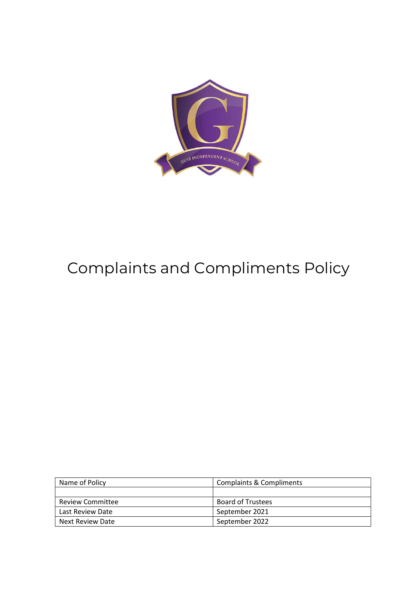

# Complaints and Compliments Policy

| Name of Policy          | <b>Complaints &amp; Compliments</b> |
|-------------------------|-------------------------------------|
|                         |                                     |
| <b>Review Committee</b> | <b>Board of Trustees</b>            |
| Last Review Date        | September 2021                      |
| Next Review Date        | September 2022                      |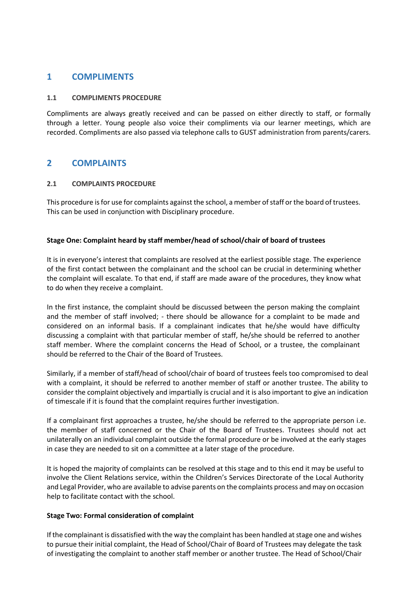### **1 COMPLIMENTS**

#### **1.1 COMPLIMENTS PROCEDURE**

Compliments are always greatly received and can be passed on either directly to staff, or formally through a letter. Young people also voice their compliments via our learner meetings, which are recorded. Compliments are also passed via telephone calls to GUST administration from parents/carers.

## **2 COMPLAINTS**

#### **2.1 COMPLAINTS PROCEDURE**

This procedure is for use for complaints against the school, a member of staff or the board of trustees. This can be used in conjunction with Disciplinary procedure.

#### **Stage One: Complaint heard by staff member/head of school/chair of board of trustees**

It is in everyone's interest that complaints are resolved at the earliest possible stage. The experience of the first contact between the complainant and the school can be crucial in determining whether the complaint will escalate. To that end, if staff are made aware of the procedures, they know what to do when they receive a complaint.

In the first instance, the complaint should be discussed between the person making the complaint and the member of staff involved; - there should be allowance for a complaint to be made and considered on an informal basis. If a complainant indicates that he/she would have difficulty discussing a complaint with that particular member of staff, he/she should be referred to another staff member. Where the complaint concerns the Head of School, or a trustee, the complainant should be referred to the Chair of the Board of Trustees.

Similarly, if a member of staff/head of school/chair of board of trustees feels too compromised to deal with a complaint, it should be referred to another member of staff or another trustee. The ability to consider the complaint objectively and impartially is crucial and it is also important to give an indication of timescale if it is found that the complaint requires further investigation.

If a complainant first approaches a trustee, he/she should be referred to the appropriate person i.e. the member of staff concerned or the Chair of the Board of Trustees. Trustees should not act unilaterally on an individual complaint outside the formal procedure or be involved at the early stages in case they are needed to sit on a committee at a later stage of the procedure.

It is hoped the majority of complaints can be resolved at this stage and to this end it may be useful to involve the Client Relations service, within the Children's Services Directorate of the Local Authority and Legal Provider, who are available to advise parents on the complaints process and may on occasion help to facilitate contact with the school.

#### **Stage Two: Formal consideration of complaint**

If the complainant is dissatisfied with the way the complaint has been handled at stage one and wishes to pursue their initial complaint, the Head of School/Chair of Board of Trustees may delegate the task of investigating the complaint to another staff member or another trustee. The Head of School/Chair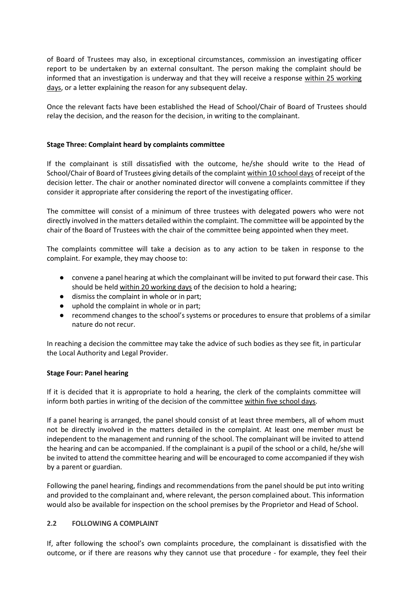of Board of Trustees may also, in exceptional circumstances, commission an investigating officer report to be undertaken by an external consultant. The person making the complaint should be informed that an investigation is underway and that they will receive a response within 25 working days, or a letter explaining the reason for any subsequent delay.

Once the relevant facts have been established the Head of School/Chair of Board of Trustees should relay the decision, and the reason for the decision, in writing to the complainant.

#### **Stage Three: Complaint heard by complaints committee**

If the complainant is still dissatisfied with the outcome, he/she should write to the Head of School/Chair of Board of Trustees giving details of the complaint within 10 school days of receipt of the decision letter. The chair or another nominated director will convene a complaints committee if they consider it appropriate after considering the report of the investigating officer.

The committee will consist of a minimum of three trustees with delegated powers who were not directly involved in the matters detailed within the complaint. The committee will be appointed by the chair of the Board of Trustees with the chair of the committee being appointed when they meet.

The complaints committee will take a decision as to any action to be taken in response to the complaint. For example, they may choose to:

- convene a panel hearing at which the complainant will be invited to put forward their case. This should be held within 20 working days of the decision to hold a hearing;
- dismiss the complaint in whole or in part;
- uphold the complaint in whole or in part;
- recommend changes to the school's systems or procedures to ensure that problems of a similar nature do not recur.

In reaching a decision the committee may take the advice of such bodies as they see fit, in particular the Local Authority and Legal Provider.

#### **Stage Four: Panel hearing**

If it is decided that it is appropriate to hold a hearing, the clerk of the complaints committee will inform both parties in writing of the decision of the committee within five school days.

If a panel hearing is arranged, the panel should consist of at least three members, all of whom must not be directly involved in the matters detailed in the complaint. At least one member must be independent to the management and running of the school. The complainant will be invited to attend the hearing and can be accompanied. If the complainant is a pupil of the school or a child, he/she will be invited to attend the committee hearing and will be encouraged to come accompanied if they wish by a parent or guardian.

Following the panel hearing, findings and recommendations from the panel should be put into writing and provided to the complainant and, where relevant, the person complained about. This information would also be available for inspection on the school premises by the Proprietor and Head of School.

#### **2.2 FOLLOWING A COMPLAINT**

If, after following the school's own complaints procedure, the complainant is dissatisfied with the outcome, or if there are reasons why they cannot use that procedure - for example, they feel their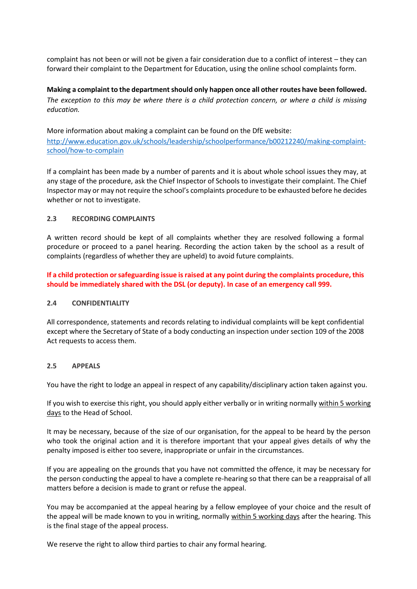complaint has not been or will not be given a fair consideration due to a conflict of interest – they can forward their complaint to the Department for Education, using the online school complaints form.

**Making a complaint to the department should only happen once all other routes have been followed.** *The exception to this may be where there is a child protection concern, or where a child is missing education.*

More information about making a complaint can be found on the DfE website: [http://www.education.gov.uk/schools/leadership/schoolperformance/b00212240/making-complaint](http://www.education.gov.uk/schools/leadership/schoolperformance/b00212240/making-complaint-school/how-to-complain)[school/how-to-complain](http://www.education.gov.uk/schools/leadership/schoolperformance/b00212240/making-complaint-school/how-to-complain)

If a complaint has been made by a number of parents and it is about whole school issues they may, at any stage of the procedure, ask the Chief Inspector of Schools to investigate their complaint. The Chief Inspector may or may not require the school's complaints procedure to be exhausted before he decides whether or not to investigate.

#### **2.3 RECORDING COMPLAINTS**

A written record should be kept of all complaints whether they are resolved following a formal procedure or proceed to a panel hearing. Recording the action taken by the school as a result of complaints (regardless of whether they are upheld) to avoid future complaints.

**If a child protection or safeguarding issue is raised at any point during the complaints procedure, this should be immediately shared with the DSL (or deputy). In case of an emergency call 999.** 

#### **2.4 CONFIDENTIALITY**

All correspondence, statements and records relating to individual complaints will be kept confidential except where the Secretary of State of a body conducting an inspection under section 109 of the 2008 Act requests to access them.

#### **2.5 APPEALS**

You have the right to lodge an appeal in respect of any capability/disciplinary action taken against you.

If you wish to exercise this right, you should apply either verbally or in writing normally within 5 working days to the Head of School.

It may be necessary, because of the size of our organisation, for the appeal to be heard by the person who took the original action and it is therefore important that your appeal gives details of why the penalty imposed is either too severe, inappropriate or unfair in the circumstances.

If you are appealing on the grounds that you have not committed the offence, it may be necessary for the person conducting the appeal to have a complete re-hearing so that there can be a reappraisal of all matters before a decision is made to grant or refuse the appeal.

You may be accompanied at the appeal hearing by a fellow employee of your choice and the result of the appeal will be made known to you in writing, normally within 5 working days after the hearing. This is the final stage of the appeal process.

We reserve the right to allow third parties to chair any formal hearing.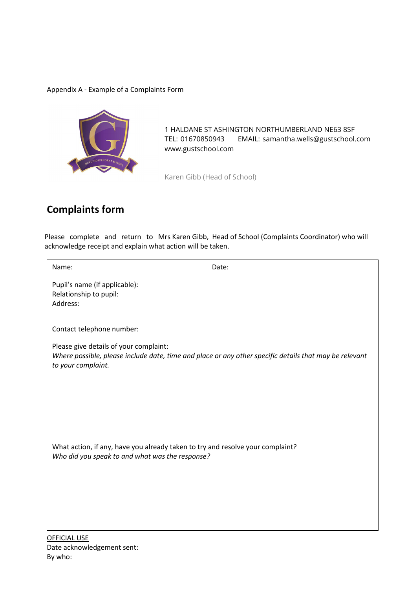#### Appendix A - Example of a Complaints Form



1 HALDANE ST ASHINGTON NORTHUMBERLAND NE63 8SF TEL: 01670850943 EMAIL: samantha.wells@gustschool.com www.gustschool.com

Karen Gibb (Head of School)

## **Complaints form**

Please complete and return to Mrs Karen Gibb, Head of School (Complaints Coordinator) who will acknowledge receipt and explain what action will be taken.

Name: **Name: Name: Name: Name: Date: Date:** 

Pupil's name (if applicable): Relationship to pupil: Address:

Contact telephone number:

Please give details of your complaint: *Where possible, please include date, time and place or any other specific details that may be relevant to your complaint.*

What action, if any, have you already taken to try and resolve your complaint? *Who did you speak to and what was the response?*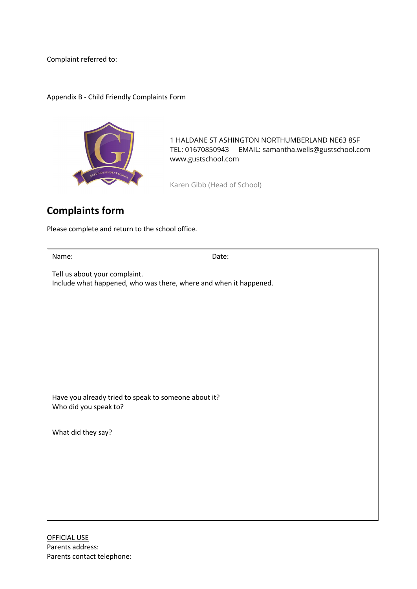Complaint referred to:

Appendix B - Child Friendly Complaints Form



1 HALDANE ST ASHINGTON NORTHUMBERLAND NE63 8SF TEL: 01670850943 EMAIL: samantha.wells@gustschool.com www.gustschool.com

Karen Gibb (Head of School)

# **Complaints form**

Please complete and return to the school office.

| Name:                                                                                              | Date: |  |
|----------------------------------------------------------------------------------------------------|-------|--|
| Tell us about your complaint.<br>Include what happened, who was there, where and when it happened. |       |  |
|                                                                                                    |       |  |
|                                                                                                    |       |  |
|                                                                                                    |       |  |
| Have you already tried to speak to someone about it?<br>Who did you speak to?                      |       |  |
| What did they say?                                                                                 |       |  |
|                                                                                                    |       |  |
|                                                                                                    |       |  |
|                                                                                                    |       |  |